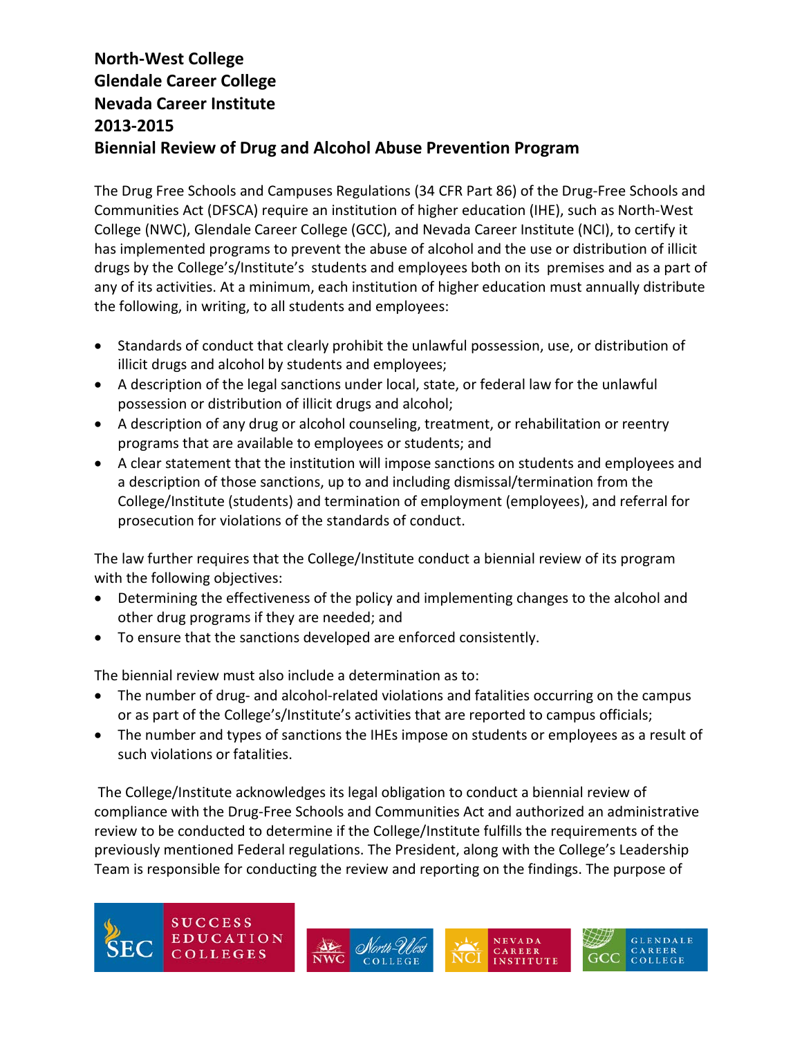The Drug Free Schools and Campuses Regulations (34 CFR Part 86) of the Drug-Free Schools and Communities Act (DFSCA) require an institution of higher education (IHE), such as North-West College (NWC), Glendale Career College (GCC), and Nevada Career Institute (NCI), to certify it has implemented programs to prevent the abuse of alcohol and the use or distribution of illicit drugs by the College's/Institute's students and employees both on its premises and as a part of any of its activities. At a minimum, each institution of higher education must annually distribute the following, in writing, to all students and employees:

- Standards of conduct that clearly prohibit the unlawful possession, use, or distribution of illicit drugs and alcohol by students and employees;
- A description of the legal sanctions under local, state, or federal law for the unlawful possession or distribution of illicit drugs and alcohol;
- A description of any drug or alcohol counseling, treatment, or rehabilitation or reentry programs that are available to employees or students; and
- A clear statement that the institution will impose sanctions on students and employees and a description of those sanctions, up to and including dismissal/termination from the College/Institute (students) and termination of employment (employees), and referral for prosecution for violations of the standards of conduct.

The law further requires that the College/Institute conduct a biennial review of its program with the following objectives:

- Determining the effectiveness of the policy and implementing changes to the alcohol and other drug programs if they are needed; and
- To ensure that the sanctions developed are enforced consistently.

The biennial review must also include a determination as to:

 $\overline{\phantom{a}}$ 

- The number of drug- and alcohol-related violations and fatalities occurring on the campus or as part of the College's/Institute's activities that are reported to campus officials;
- The number and types of sanctions the IHEs impose on students or employees as a result of such violations or fatalities.

The College/Institute acknowledges its legal obligation to conduct a biennial review of compliance with the Drug-Free Schools and Communities Act and authorized an administrative review to be conducted to determine if the College/Institute fulfills the requirements of the previously mentioned Federal regulations. The President, along with the College's Leadership Team is responsible for conducting the review and reporting on the findings. The purpose of







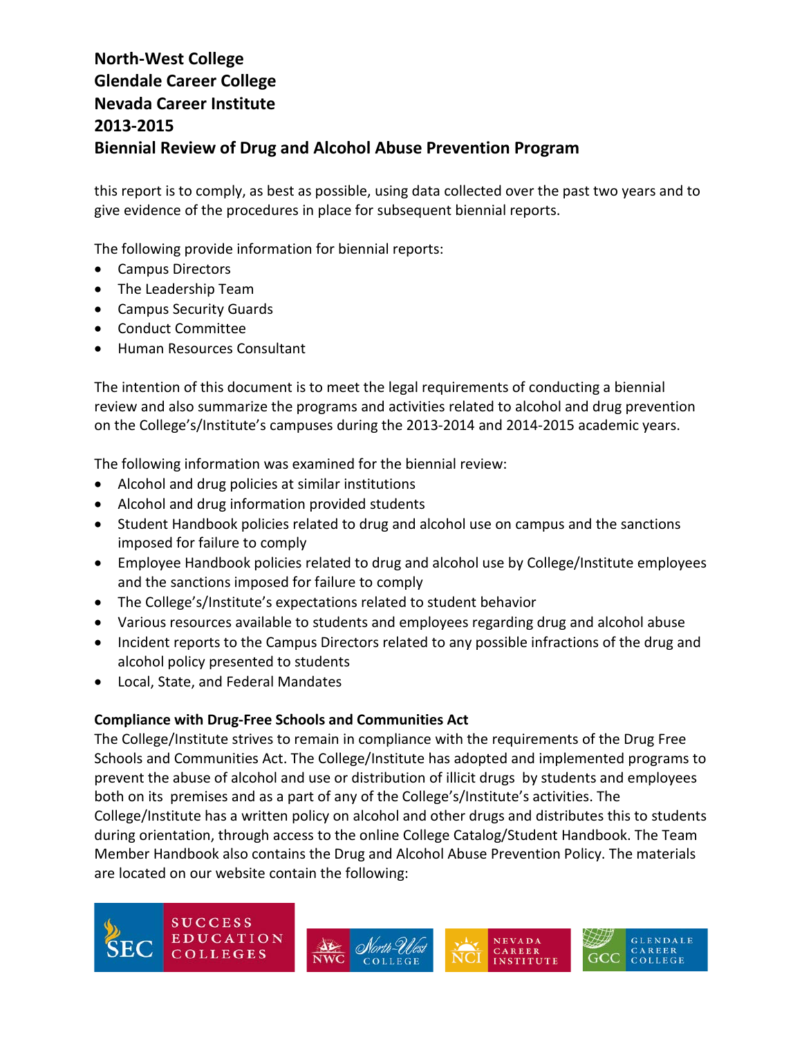this report is to comply, as best as possible, using data collected over the past two years and to give evidence of the procedures in place for subsequent biennial reports.

The following provide information for biennial reports:

- Campus Directors
- The Leadership Team
- Campus Security Guards
- Conduct Committee
- Human Resources Consultant

The intention of this document is to meet the legal requirements of conducting a biennial review and also summarize the programs and activities related to alcohol and drug prevention on the College's/Institute's campuses during the 2013-2014 and 2014-2015 academic years.

The following information was examined for the biennial review:

- Alcohol and drug policies at similar institutions
- Alcohol and drug information provided students
- Student Handbook policies related to drug and alcohol use on campus and the sanctions imposed for failure to comply
- Employee Handbook policies related to drug and alcohol use by College/Institute employees and the sanctions imposed for failure to comply
- The College's/Institute's expectations related to student behavior
- Various resources available to students and employees regarding drug and alcohol abuse
- Incident reports to the Campus Directors related to any possible infractions of the drug and alcohol policy presented to students
- Local, State, and Federal Mandates

#### **Compliance with Drug-Free Schools and Communities Act**

 $\overline{\phantom{a}}$ 

The College/Institute strives to remain in compliance with the requirements of the Drug Free Schools and Communities Act. The College/Institute has adopted and implemented programs to prevent the abuse of alcohol and use or distribution of illicit drugs by students and employees both on its premises and as a part of any of the College's/Institute's activities. The College/Institute has a written policy on alcohol and other drugs and distributes this to students during orientation, through access to the online College Catalog/Student Handbook. The Team Member Handbook also contains the Drug and Alcohol Abuse Prevention Policy. The materials are located on our website contain the following:







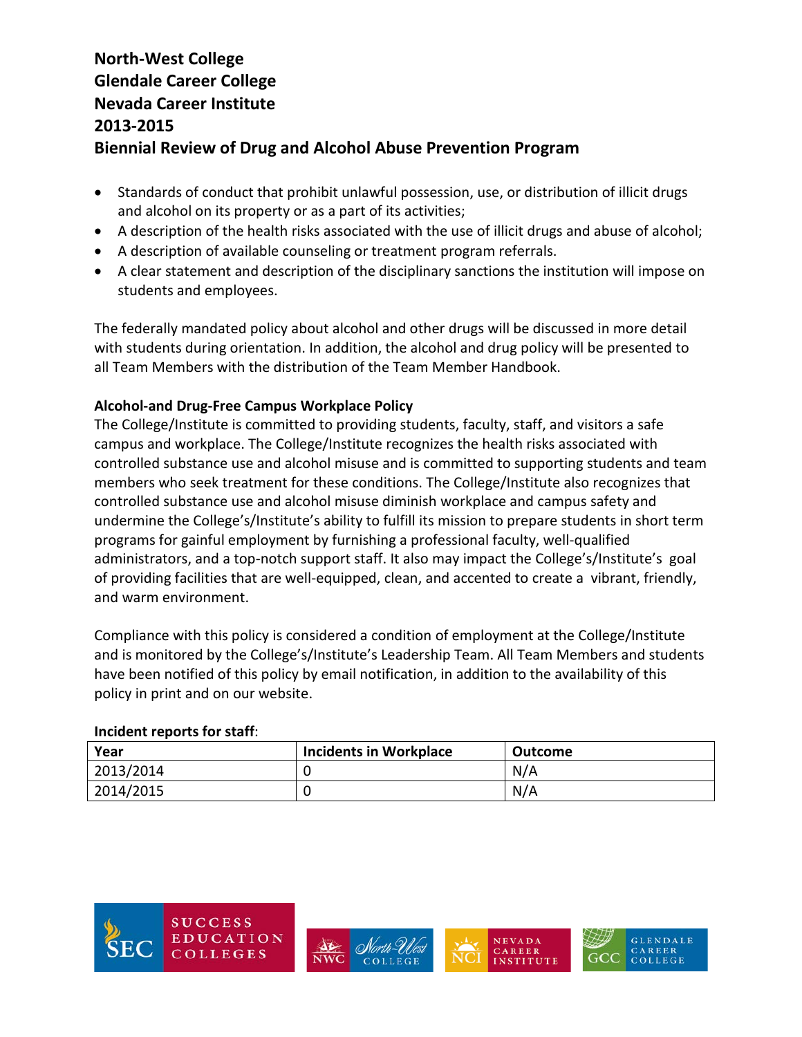- Standards of conduct that prohibit unlawful possession, use, or distribution of illicit drugs and alcohol on its property or as a part of its activities;
- A description of the health risks associated with the use of illicit drugs and abuse of alcohol;
- A description of available counseling or treatment program referrals.
- A clear statement and description of the disciplinary sanctions the institution will impose on students and employees.

The federally mandated policy about alcohol and other drugs will be discussed in more detail with students during orientation. In addition, the alcohol and drug policy will be presented to all Team Members with the distribution of the Team Member Handbook.

### **Alcohol-and Drug-Free Campus Workplace Policy**

The College/Institute is committed to providing students, faculty, staff, and visitors a safe campus and workplace. The College/Institute recognizes the health risks associated with controlled substance use and alcohol misuse and is committed to supporting students and team members who seek treatment for these conditions. The College/Institute also recognizes that controlled substance use and alcohol misuse diminish workplace and campus safety and undermine the College's/Institute's ability to fulfill its mission to prepare students in short term programs for gainful employment by furnishing a professional faculty, well-qualified administrators, and a top-notch support staff. It also may impact the College's/Institute's goal of providing facilities that are well-equipped, clean, and accented to create a vibrant, friendly, and warm environment.

Compliance with this policy is considered a condition of employment at the College/Institute and is monitored by the College's/Institute's Leadership Team. All Team Members and students have been notified of this policy by email notification, in addition to the availability of this policy in print and on our website.

#### **Incident reports for staff**:

| Year      | <b>Incidents in Workplace</b> | Outcome |
|-----------|-------------------------------|---------|
| 2013/2014 |                               | N/A     |
| 2014/2015 |                               | N/A     |







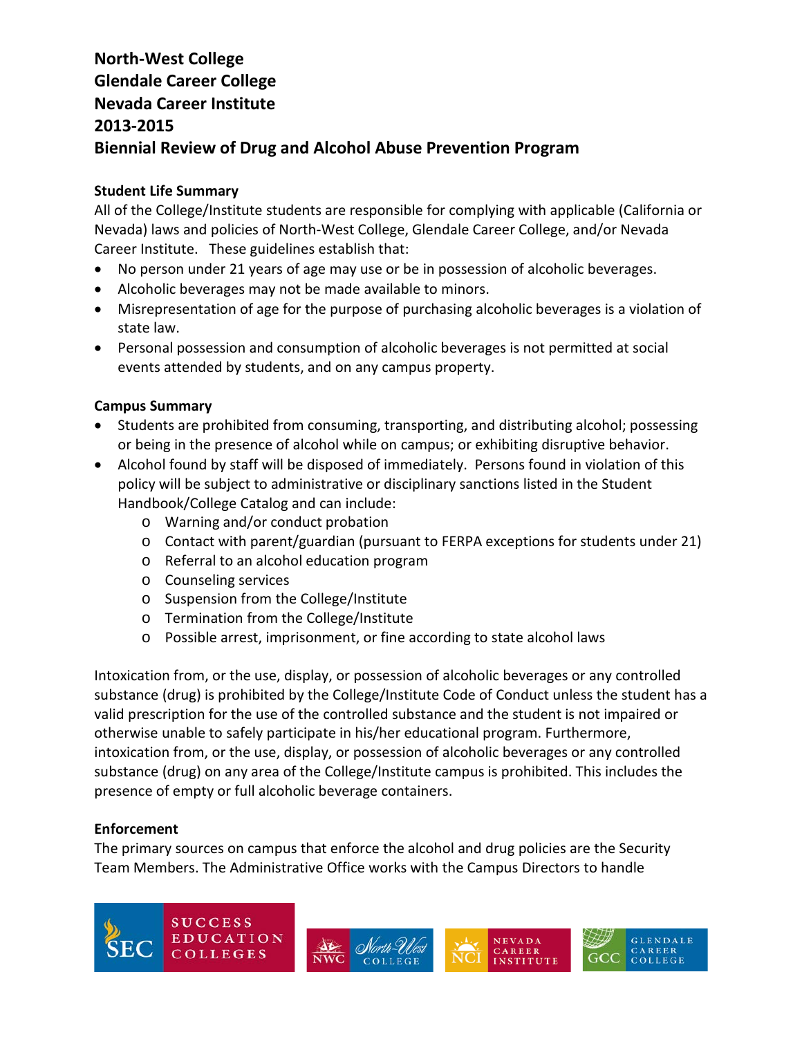#### **Student Life Summary**

All of the College/Institute students are responsible for complying with applicable (California or Nevada) laws and policies of North-West College, Glendale Career College, and/or Nevada Career Institute. These guidelines establish that:

- No person under 21 years of age may use or be in possession of alcoholic beverages.
- Alcoholic beverages may not be made available to minors.
- Misrepresentation of age for the purpose of purchasing alcoholic beverages is a violation of state law.
- Personal possession and consumption of alcoholic beverages is not permitted at social events attended by students, and on any campus property.

### **Campus Summary**

- Students are prohibited from consuming, transporting, and distributing alcohol; possessing or being in the presence of alcohol while on campus; or exhibiting disruptive behavior.
- Alcohol found by staff will be disposed of immediately. Persons found in violation of this policy will be subject to administrative or disciplinary sanctions listed in the Student Handbook/College Catalog and can include:
	- o Warning and/or conduct probation
	- o Contact with parent/guardian (pursuant to FERPA exceptions for students under 21)
	- o Referral to an alcohol education program
	- o Counseling services
	- o Suspension from the College/Institute
	- o Termination from the College/Institute
	- o Possible arrest, imprisonment, or fine according to state alcohol laws

Intoxication from, or the use, display, or possession of alcoholic beverages or any controlled substance (drug) is prohibited by the College/Institute Code of Conduct unless the student has a valid prescription for the use of the controlled substance and the student is not impaired or otherwise unable to safely participate in his/her educational program. Furthermore, intoxication from, or the use, display, or possession of alcoholic beverages or any controlled substance (drug) on any area of the College/Institute campus is prohibited. This includes the presence of empty or full alcoholic beverage containers.

#### **Enforcement**

The primary sources on campus that enforce the alcohol and drug policies are the Security Team Members. The Administrative Office works with the Campus Directors to handle







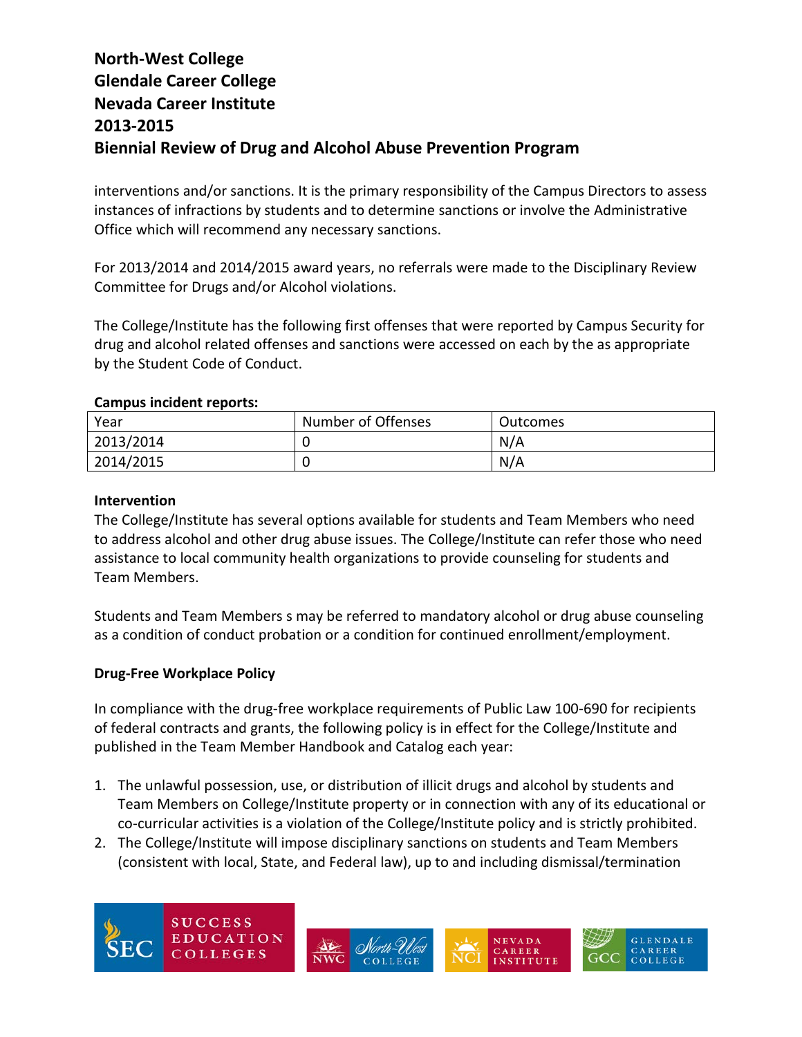interventions and/or sanctions. It is the primary responsibility of the Campus Directors to assess instances of infractions by students and to determine sanctions or involve the Administrative Office which will recommend any necessary sanctions.

For 2013/2014 and 2014/2015 award years, no referrals were made to the Disciplinary Review Committee for Drugs and/or Alcohol violations.

The College/Institute has the following first offenses that were reported by Campus Security for drug and alcohol related offenses and sanctions were accessed on each by the as appropriate by the Student Code of Conduct.

#### **Campus incident reports:**

| Year      | Number of Offenses | <b>Outcomes</b> |
|-----------|--------------------|-----------------|
| 2013/2014 |                    | N/A             |
| 2014/2015 |                    | N/A             |

#### **Intervention**

The College/Institute has several options available for students and Team Members who need to address alcohol and other drug abuse issues. The College/Institute can refer those who need assistance to local community health organizations to provide counseling for students and Team Members.

Students and Team Members s may be referred to mandatory alcohol or drug abuse counseling as a condition of conduct probation or a condition for continued enrollment/employment.

#### **Drug-Free Workplace Policy**

In compliance with the drug-free workplace requirements of Public Law 100-690 for recipients of federal contracts and grants, the following policy is in effect for the College/Institute and published in the Team Member Handbook and Catalog each year:

- 1. The unlawful possession, use, or distribution of illicit drugs and alcohol by students and Team Members on College/Institute property or in connection with any of its educational or co-curricular activities is a violation of the College/Institute policy and is strictly prohibited.
- 2. The College/Institute will impose disciplinary sanctions on students and Team Members (consistent with local, State, and Federal law), up to and including dismissal/termination





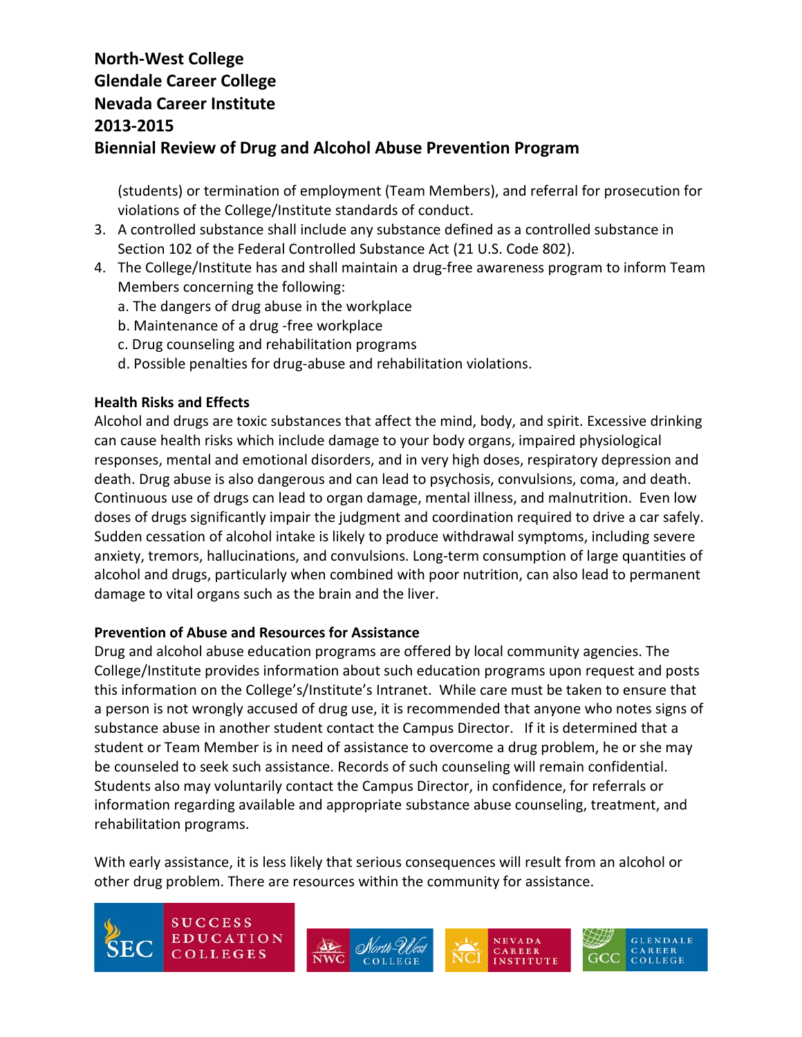(students) or termination of employment (Team Members), and referral for prosecution for violations of the College/Institute standards of conduct.

- 3. A controlled substance shall include any substance defined as a controlled substance in Section 102 of the Federal Controlled Substance Act (21 U.S. Code 802).
- 4. The College/Institute has and shall maintain a drug-free awareness program to inform Team Members concerning the following:
	- a. The dangers of drug abuse in the workplace
	- b. Maintenance of a drug -free workplace
	- c. Drug counseling and rehabilitation programs
	- d. Possible penalties for drug-abuse and rehabilitation violations.

### **Health Risks and Effects**

Alcohol and drugs are toxic substances that affect the mind, body, and spirit. Excessive drinking can cause health risks which include damage to your body organs, impaired physiological responses, mental and emotional disorders, and in very high doses, respiratory depression and death. Drug abuse is also dangerous and can lead to psychosis, convulsions, coma, and death. Continuous use of drugs can lead to organ damage, mental illness, and malnutrition. Even low doses of drugs significantly impair the judgment and coordination required to drive a car safely. Sudden cessation of alcohol intake is likely to produce withdrawal symptoms, including severe anxiety, tremors, hallucinations, and convulsions. Long-term consumption of large quantities of alcohol and drugs, particularly when combined with poor nutrition, can also lead to permanent damage to vital organs such as the brain and the liver.

### **Prevention of Abuse and Resources for Assistance**

Drug and alcohol abuse education programs are offered by local community agencies. The College/Institute provides information about such education programs upon request and posts this information on the College's/Institute's Intranet. While care must be taken to ensure that a person is not wrongly accused of drug use, it is recommended that anyone who notes signs of substance abuse in another student contact the Campus Director. If it is determined that a student or Team Member is in need of assistance to overcome a drug problem, he or she may be counseled to seek such assistance. Records of such counseling will remain confidential. Students also may voluntarily contact the Campus Director, in confidence, for referrals or information regarding available and appropriate substance abuse counseling, treatment, and rehabilitation programs.

With early assistance, it is less likely that serious consequences will result from an alcohol or other drug problem. There are resources within the community for assistance.